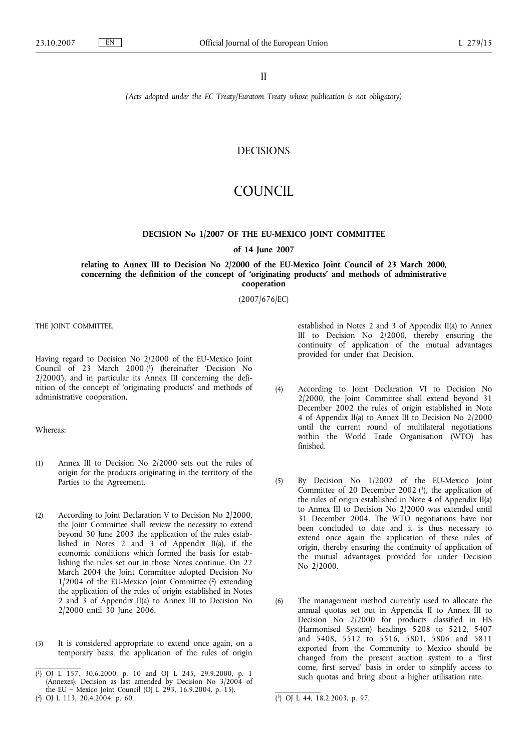II

*(Acts adopted under the EC Treaty/Euratom Treaty whose publication is not obligatory)*

# DECISIONS

# COUNCIL

#### **DECISION No 1/2007 OF THE EU-MEXICO JOINT COMMITTEE**

#### **of 14 June 2007**

#### **relating to Annex III to Decision No 2/2000 of the EU-Mexico Joint Council of 23 March 2000, concerning the definition of the concept of 'originating products' and methods of administrative cooperation**

(2007/676/EC)

THE JOINT COMMITTEE,

Having regard to Decision No 2/2000 of the EU-Mexico Joint Council of 23 March 2000 (1) (hereinafter 'Decision No 2/2000'), and in particular its Annex III concerning the definition of the concept of 'originating products' and methods of administrative cooperation,

Whereas:

- (1) Annex III to Decision No 2/2000 sets out the rules of origin for the products originating in the territory of the Parties to the Agreement.
- (2) According to Joint Declaration V to Decision No 2/2000, the Joint Committee shall review the necessity to extend beyond 30 June 2003 the application of the rules established in Notes 2 and 3 of Appendix II(a), if the economic conditions which formed the basis for establishing the rules set out in those Notes continue. On 22 March 2004 the Joint Committee adopted Decision No  $1/2004$  of the EU-Mexico Joint Committee  $(2)$  extending the application of the rules of origin established in Notes 2 and 3 of Appendix II(a) to Annex III to Decision No 2/2000 until 30 June 2006.
- (3) It is considered appropriate to extend once again, on a temporary basis, the application of the rules of origin

established in Notes 2 and 3 of Appendix II(a) to Annex III to Decision No 2/2000, thereby ensuring the continuity of application of the mutual advantages provided for under that Decision.

- (4) According to Joint Declaration VI to Decision No 2/2000, the Joint Committee shall extend beyond 31 December 2002 the rules of origin established in Note 4 of Appendix II(a) to Annex III to Decision No 2/2000 until the current round of multilateral negotiations within the World Trade Organisation (WTO) has finished.
- (5) By Decision No 1/2002 of the EU-Mexico Joint Committee of 20 December 2002  $(3)$ , the application of the rules of origin established in Note 4 of Appendix II(a) to Annex III to Decision No 2/2000 was extended until 31 December 2004. The WTO negotiations have not been concluded to date and it is thus necessary to extend once again the application of these rules of origin, thereby ensuring the continuity of application of the mutual advantages provided for under Decision No 2/2000.
- (6) The management method currently used to allocate the annual quotas set out in Appendix II to Annex III to Decision No 2/2000 for products classified in HS (Harmonised System) headings 5208 to 5212, 5407 and 5408, 5512 to 5516, 5801, 5806 and 5811 exported from the Community to Mexico should be changed from the present auction system to a 'first come, first served' basis in order to simplify access to such quotas and bring about a higher utilisation rate.

<sup>(</sup> 1) OJ L 157, 30.6.2000, p. 10 and OJ L 245, 29.9.2000, p. 1 (Annexes). Decision as last amended by Decision No 3/2004 of the EU – Mexico Joint Council (OJ L 293, 16.9.2004, p. 15).

<sup>(</sup> 2) OJ L 113, 20.4.2004, p. 60. (

<sup>3)</sup> OJ L 44, 18.2.2003, p. 97.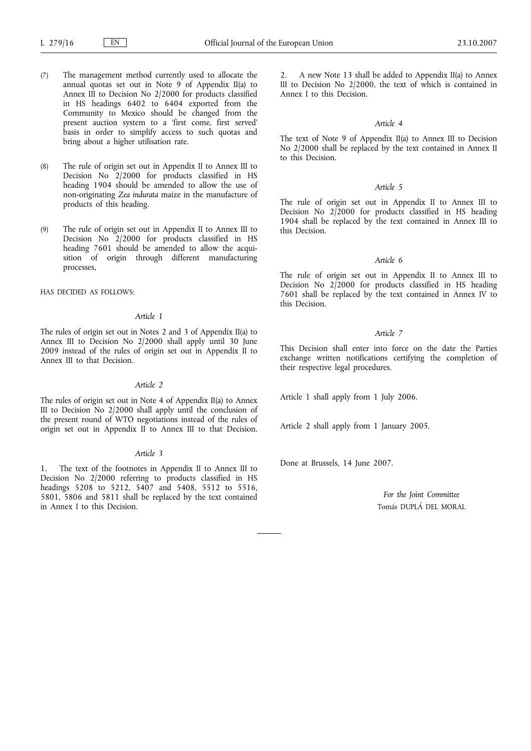- (7) The management method currently used to allocate the annual quotas set out in Note 9 of Appendix II(a) to Annex III to Decision No 2/2000 for products classified in HS headings 6402 to 6404 exported from the Community to Mexico should be changed from the present auction system to a 'first come, first served' basis in order to simplify access to such quotas and bring about a higher utilisation rate.
- (8) The rule of origin set out in Appendix II to Annex III to Decision No 2/2000 for products classified in HS heading 1904 should be amended to allow the use of non-originating *Zea indurata* maize in the manufacture of products of this heading.
- (9) The rule of origin set out in Appendix II to Annex III to Decision No 2/2000 for products classified in HS heading 7601 should be amended to allow the acquisition of origin through different manufacturing processes,

HAS DECIDED AS FOLLOWS:

#### *Article 1*

The rules of origin set out in Notes 2 and 3 of Appendix II(a) to Annex III to Decision No 2/2000 shall apply until 30 June 2009 instead of the rules of origin set out in Appendix II to Annex III to that Decision.

#### *Article 2*

The rules of origin set out in Note 4 of Appendix II(a) to Annex III to Decision No 2/2000 shall apply until the conclusion of the present round of WTO negotiations instead of the rules of origin set out in Appendix II to Annex III to that Decision.

#### *Article 3*

1. The text of the footnotes in Appendix II to Annex III to Decision No 2/2000 referring to products classified in HS headings 5208 to 5212, 5407 and 5408, 5512 to 5516, 5801, 5806 and 5811 shall be replaced by the text contained in Annex I to this Decision.

2. A new Note 13 shall be added to Appendix II(a) to Annex III to Decision No 2/2000, the text of which is contained in Annex I to this Decision.

#### *Article 4*

The text of Note 9 of Appendix II(a) to Annex III to Decision No 2/2000 shall be replaced by the text contained in Annex II to this Decision.

#### *Article 5*

The rule of origin set out in Appendix II to Annex III to Decision No 2/2000 for products classified in HS heading 1904 shall be replaced by the text contained in Annex III to this Decision.

#### *Article 6*

The rule of origin set out in Appendix II to Annex III to Decision No 2/2000 for products classified in HS heading 7601 shall be replaced by the text contained in Annex IV to this Decision.

#### *Article 7*

This Decision shall enter into force on the date the Parties exchange written notifications certifying the completion of their respective legal procedures.

Article 1 shall apply from 1 July 2006.

Article 2 shall apply from 1 January 2005.

Done at Brussels, 14 June 2007.

*For the Joint Committee* Tomás DUPLÁ DEL MORAL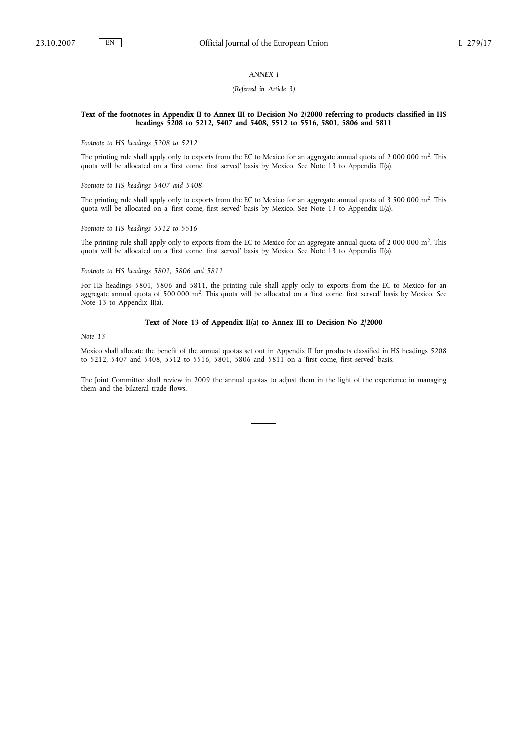## *ANNEX I*

#### *(Referred in Article 3)*

#### **Text of the footnotes in Appendix II to Annex III to Decision No 2/2000 referring to products classified in HS headings 5208 to 5212, 5407 and 5408, 5512 to 5516, 5801, 5806 and 5811**

*Footnote to HS headings 5208 to 5212*

The printing rule shall apply only to exports from the EC to Mexico for an aggregate annual quota of 2 000 000 m2. This quota will be allocated on a 'first come, first served' basis by Mexico. See Note 13 to Appendix II(a).

*Footnote to HS headings 5407 and 5408*

The printing rule shall apply only to exports from the EC to Mexico for an aggregate annual quota of 3 500 000 m<sup>2</sup>. This quota will be allocated on a 'first come, first served' basis by Mexico. See Note 13 to Appendix II(a).

*Footnote to HS headings 5512 to 5516*

The printing rule shall apply only to exports from the EC to Mexico for an aggregate annual quota of 2 000 000 m2. This quota will be allocated on a 'first come, first served' basis by Mexico. See Note 13 to Appendix II(a).

*Footnote to HS headings 5801, 5806 and 5811*

For HS headings 5801, 5806 and 5811, the printing rule shall apply only to exports from the EC to Mexico for an aggregate annual quota of 500 000 m<sup>2</sup>. This quota will be allocated on a 'first come, first served' basis by Mexico. See Note 13 to Appendix II(a).

#### **Text of Note 13 of Appendix II(a) to Annex III to Decision No 2/2000**

*Note 13*

Mexico shall allocate the benefit of the annual quotas set out in Appendix II for products classified in HS headings 5208 to 5212, 5407 and 5408, 5512 to 5516, 5801, 5806 and 5811 on a 'first come, first served' basis.

The Joint Committee shall review in 2009 the annual quotas to adjust them in the light of the experience in managing them and the bilateral trade flows.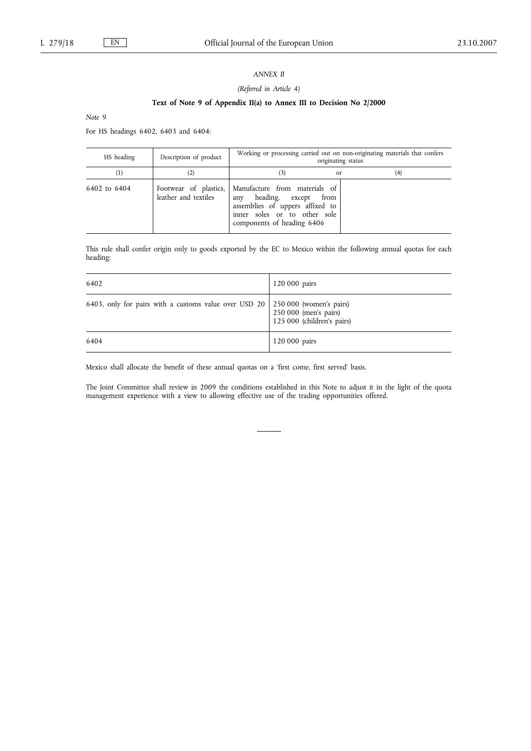## *ANNEX II*

## *(Referred in Article 4)*

## **Text of Note 9 of Appendix II(a) to Annex III to Decision No 2/2000**

*Note 9*

For HS headings 6402, 6403 and 6404:

| HS heading   | Description of product | Working or processing carried out on non-originating materials that confers<br>originating status                                                                                        |     |  |
|--------------|------------------------|------------------------------------------------------------------------------------------------------------------------------------------------------------------------------------------|-----|--|
| $^{(1)}$     |                        | <sub>or</sub>                                                                                                                                                                            | (4) |  |
| 6402 to 6404 | leather and textiles   | Footwear of plastics,   Manufacture from materials of<br>heading, except<br>from<br>any<br>assemblies of uppers affixed to<br>inner soles or to other sole<br>components of heading 6406 |     |  |

This rule shall confer origin only to goods exported by the EC to Mexico within the following annual quotas for each heading:

| 6402                                                                              | 120 000 pairs                                       |
|-----------------------------------------------------------------------------------|-----------------------------------------------------|
| 6403, only for pairs with a customs value over USD $20\,$ 250 000 (women's pairs) | 250 000 (men's pairs)<br>125 000 (children's pairs) |
| 6404                                                                              | 120 000 pairs                                       |

Mexico shall allocate the benefit of these annual quotas on a 'first come, first served' basis.

The Joint Committee shall review in 2009 the conditions established in this Note to adjust it in the light of the quota management experience with a view to allowing effective use of the trading opportunities offered.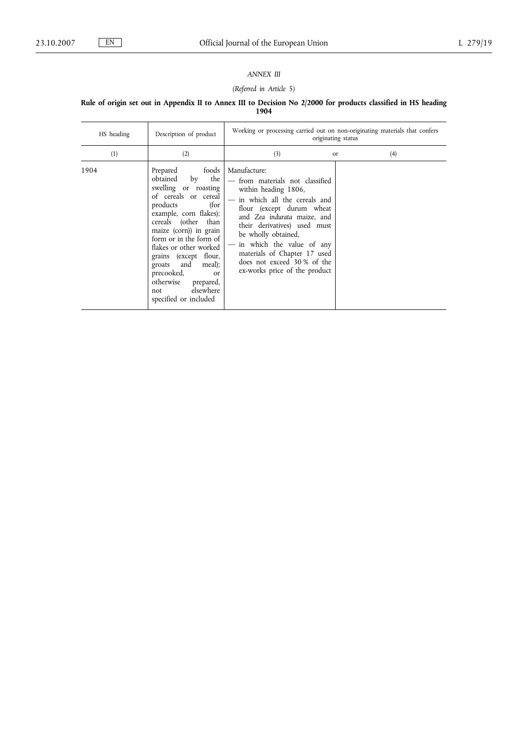# *ANNEX III*

# *(Referred in Article 5)*

#### **Rule of origin set out in Appendix II to Annex III to Decision No 2/2000 for products classified in HS heading 1904**

| HS heading | Description of product                                                                                                                                                                                                                                                                                                                                                                                  | Working or processing carried out on non-originating materials that confers<br>originating status                                                                                                                                                                                                                                                       |               |     |
|------------|---------------------------------------------------------------------------------------------------------------------------------------------------------------------------------------------------------------------------------------------------------------------------------------------------------------------------------------------------------------------------------------------------------|---------------------------------------------------------------------------------------------------------------------------------------------------------------------------------------------------------------------------------------------------------------------------------------------------------------------------------------------------------|---------------|-----|
| (1)        | (2)                                                                                                                                                                                                                                                                                                                                                                                                     | (3)                                                                                                                                                                                                                                                                                                                                                     | <sub>or</sub> | (4) |
| 1904       | foods<br>Prepared<br>obtained<br>the<br>by<br>swelling or roasting<br>of cereals or cereal<br>(for<br>products<br>example, corn flakes);<br>cereals (other than<br>maize (corn)) in grain<br>form or in the form of<br>flakes or other worked<br>grains (except flour,<br>and<br>meal);<br>groats<br>precooked,<br><sub>or</sub><br>otherwise<br>prepared,<br>elsewhere<br>not<br>specified or included | Manufacture:<br>- from materials not classified<br>within heading 1806,<br>in which all the cereals and<br>flour (except durum wheat<br>and Zea indurata maize, and<br>their derivatives) used must<br>be wholly obtained,<br>in which the value of any<br>materials of Chapter 17 used<br>does not exceed 30 % of the<br>ex-works price of the product |               |     |